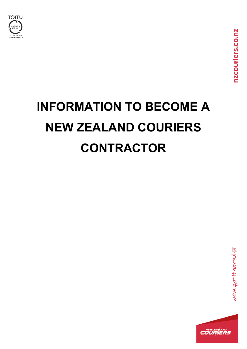

# **INFORMATION TO BECOME A NEW ZEALAND COURIERS CONTRACTOR**

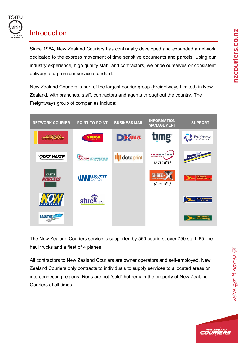

## **Introduction**

Since 1964, New Zealand Couriers has continually developed and expanded a network dedicated to the express movement of time sensitive documents and parcels. Using our industry experience, high quality staff, and contractors, we pride ourselves on consistent delivery of a premium service standard.

New Zealand Couriers is part of the largest courier group (Freightways Limited) in New Zealand, with branches, staff, contractors and agents throughout the country. The Freightways group of companies include:



The New Zealand Couriers service is supported by 550 couriers, over 750 staff, 65 line haul trucks and a fleet of 4 planes.

All contractors to New Zealand Couriers are owner operators and self-employed. New Zealand Couriers only contracts to individuals to supply services to allocated areas or interconnecting regions. Runs are not "sold" but remain the property of New Zealand Couriers at all times.

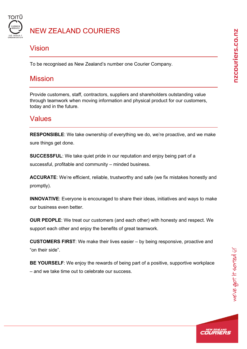

### NEW ZEALAND COURIERS

### Vision

To be recognised as New Zealand's number one Courier Company.

### Mission

Provide customers, staff, contractors, suppliers and shareholders outstanding value through teamwork when moving information and physical product for our customers, today and in the future.

### Values

**RESPONSIBLE**: We take ownership of everything we do, we're proactive, and we make sure things get done.

**SUCCESSFUL**: We take quiet pride in our reputation and enjoy being part of a successful, profitable and community – minded business.

**ACCURATE**: We're efficient, reliable, trustworthy and safe (we fix mistakes honestly and promptly).

**INNOVATIVE**: Everyone is encouraged to share their ideas, initiatives and ways to make our business even better.

**OUR PEOPLE**: We treat our customers (and each other) with honesty and respect. We support each other and enjoy the benefits of great teamwork.

**CUSTOMERS FIRST**: We make their lives easier – by being responsive, proactive and "on their side".

**BE YOURSELF**: We enjoy the rewards of being part of a positive, supportive workplace – and we take time out to celebrate our success.

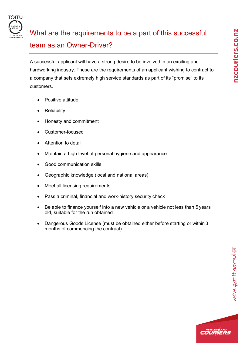

# What are the requirements to be a part of this successful team as an Owner-Driver?

A successful applicant will have a strong desire to be involved in an exciting and hardworking industry. These are the requirements of an applicant wishing to contract to a company that sets extremely high service standards as part of its "promise" to its customers.

- Positive attitude
- **Reliability**
- Honesty and commitment
- Customer-focused
- Attention to detail
- Maintain a high level of personal hygiene and appearance
- Good communication skills
- Geographic knowledge (local and national areas)
- Meet all licensing requirements
- Pass a criminal, financial and work-history security check
- Be able to finance yourself into a new vehicle or a vehicle not less than 5 years old, suitable for the run obtained
- Dangerous Goods License (must be obtained either before starting or within 3 months of commencing the contract)

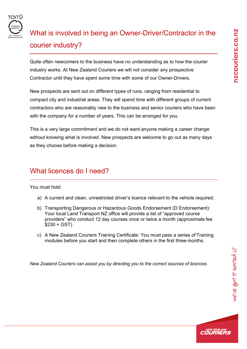

# What is involved in being an Owner-Driver/Contractor in the courier industry?

Quite often newcomers to the business have no understanding as to how the courier industry works. At New Zealand Couriers we will not consider any prospective Contractor until they have spent some time with some of our Owner-Drivers.

New prospects are sent out on different types of runs, ranging from residential to compact city and industrial areas. They will spend time with different groups of current contractors who are reasonably new to the business and senior couriers who have been with the company for a number of years. This can be arranged for you.

This is a very large commitment and we do not want anyone making a career change without knowing what is involved. New prospects are welcome to go out as many days as they choose before making a decision.

### What licences do I need?

You must hold:

- a) A current and clean, unrestricted driver's licence relevant to the vehicle required.
- b) Transporting Dangerous or Hazardous Goods Endorsement (D Endorsement): Your local Land Transport NZ office will provide a list of "approved course providers" who conduct 12 day courses once or twice a month (approximate fee  $$230 + GST$
- c) A New Zealand Couriers Training Certificate: You must pass a series of Training modules before you start and then complete others in the first three months.

*New Zealand Couriers can assist you by directing you to the correct sources of licences.*

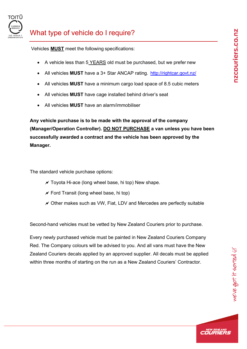

### What type of vehicle do I require?

Vehicles **MUST** meet the following specifications:

- A vehicle less than 5 YEARS old must be purchased, but we prefer new
- All vehicles **MUST** have a 3+ Star ANCAP rating. <http://rightcar.govt.nz/>
- All vehicles **MUST** have a minimum cargo load space of 8.5 cubic meters
- All vehicles **MUST** have cage installed behind driver's seat
- All vehicles **MUST** have an alarm/immobiliser

**Any vehicle purchase is to be made with the approval of the company (Manager/Operation Controller). DO NOT PURCHASE a van unless you have been successfully awarded a contract and the vehicle has been approved by the Manager.**

The standard vehicle purchase options:

- $\overline{\prime}$  Toyota Hi-ace (long wheel base, hi top) New shape.
- $\mathcal N$  Ford Transit (long wheel base, hi top)
- $\chi$  Other makes such as VW, Fiat, LDV and Mercedes are perfectly suitable

Second-hand vehicles must be vetted by New Zealand Couriers prior to purchase.

Every newly purchased vehicle must be painted in New Zealand Couriers Company Red. The Company colours will be advised to you. And all vans must have the New Zealand Couriers decals applied by an approved supplier. All decals must be applied within three months of starting on the run as a New Zealand Couriers' Contractor.

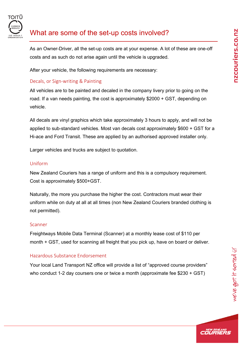

### What are some of the set-up costs involved?

As an Owner-Driver, all the set-up costs are at your expense. A lot of these are one-off costs and as such do not arise again until the vehicle is upgraded.

After your vehicle, the following requirements are necessary:

#### Decals, or Sign-writing & Painting

All vehicles are to be painted and decaled in the company livery prior to going on the road. If a van needs painting, the cost is approximately \$2000 + GST, depending on vehicle.

All decals are vinyl graphics which take approximately 3 hours to apply, and will not be applied to sub-standard vehicles. Most van decals cost approximately \$600 + GST for a Hi-ace and Ford Transit. These are applied by an authorised approved installer only.

Larger vehicles and trucks are subject to quotation.

#### Uniform

New Zealand Couriers has a range of uniform and this is a compulsory requirement. Cost is approximately \$500+GST.

Naturally, the more you purchase the higher the cost. Contractors must wear their uniform while on duty at all at all times (non New Zealand Couriers branded clothing is not permitted).

#### **Scanner**

Freightways Mobile Data Terminal (Scanner) at a monthly lease cost of \$110 per month + GST, used for scanning all freight that you pick up, have on board or deliver.

#### Hazardous Substance Endorsement

Your local Land Transport NZ office will provide a list of "approved course providers" who conduct 1-2 day coursers one or twice a month (approximate fee \$230 + GST)

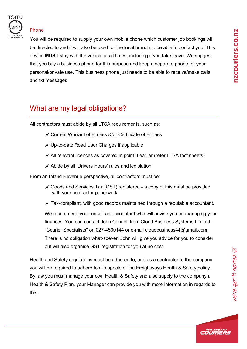

#### Phone

You will be required to supply your own mobile phone which customer job bookings will be directed to and it will also be used for the local branch to be able to contact you. This device **MUST** stay with the vehicle at all times, including if you take leave. We suggest that you buy a business phone for this purpose and keep a separate phone for your personal/private use. This business phone just needs to be able to receive/make calls and txt messages.

### What are my legal obligations?

All contractors must abide by all LTSA requirements, such as:

- Current Warrant of Fitness &/or Certificate of Fitness
- $\mathcal N$  Up-to-date Road User Charges if applicable
- $\mathcal N$  All relevant licences as covered in point 3 earlier (refer LTSA fact sheets)
- $\overline{\prime}$  Abide by all 'Drivers Hours' rules and legislation

From an Inland Revenue perspective, all contractors must be:

 $\chi$  Goods and Services Tax (GST) registered – a copy of this must be provided with your contractor paperwork

 $\chi$  Tax-compliant, with good records maintained through a reputable accountant.

We recommend you consult an accountant who will advise you on managing your finances. You can contact John Connell from Cloud Business Systems Limited - "Courier Specialists" on 027-4500144 or e-mail [cloudbusiness44@gmail.com.](mailto:cloudbusiness44@gmail.com) There is no obligation what-soever. John will give you advice for you to consider but will also organise GST registration for you at no cost.

Health and Safety regulations must be adhered to, and as a contractor to the company you will be required to adhere to all aspects of the Freightways Health & Safety policy. By law you must manage your own Health & Safety and also supply to the company a Health & Safety Plan, your Manager can provide you with more information in regards to this.

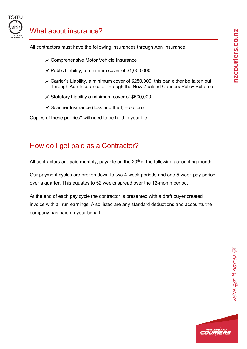

### What about insurance?

All contractors must have the following insurances through Aon Insurance:

- $\mathcal N$  Comprehensive Motor Vehicle Insurance
- $\prime\prime$  Public Liability, a minimum cover of \$1,000,000
- $\chi$  Carrier's Liability, a minimum cover of \$250,000, this can either be taken out through Aon Insurance or through the New Zealand Couriers Policy Scheme
- $\overline{\prime}$  Statutory Liability a minimum cover of \$500,000
- $\mathcal X$  Scanner Insurance (loss and theft) optional

Copies of these policies\* will need to be held in your file

### How do I get paid as a Contractor?

All contractors are paid monthly, payable on the  $20<sup>th</sup>$  of the following accounting month.

Our payment cycles are broken down to two 4-week periods and one 5-week pay period over a quarter. This equates to 52 weeks spread over the 12-month period.

At the end of each pay cycle the contractor is presented with a draft buyer created invoice with all run earnings. Also listed are any standard deductions and accounts the company has paid on your behalf.

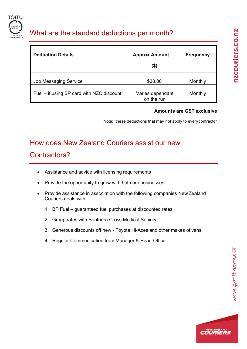

### What are the standard deductions per month?

| <b>Deduction Details</b>                  | <b>Approx Amount</b><br>(\$)   | <b>Frequency</b> |
|-------------------------------------------|--------------------------------|------------------|
| <b>Job Messaging Service</b>              | \$30.00                        | Monthly          |
| Fuel – if using BP card with NZC discount | Varies dependant<br>on the run | Monthly          |

#### **Amounts are GST exclusive**

Note: these deductions that may not apply to everycontractor

# How does New Zealand Couriers assist our new

### Contractors?

- Assistance and advice with licensing requirements
- Provide the opportunity to grow with both our businesses
- Provide assistance in association with the following companies New Zealand Couriers deals with:
	- 1. BP Fuel guaranteed fuel purchases at discounted rates
	- 2. Group rates with Southern Cross Medical Society
	- 3. Generous discounts off new Toyota Hi-Aces and other makes of vans
	- 4. Regular Communication from Manager & Head Office

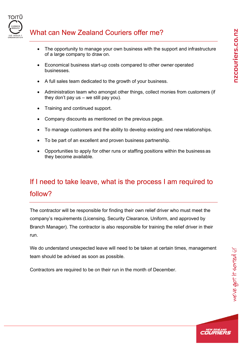

### What can New Zealand Couriers offer me?

- The opportunity to manage your own business with the support and infrastructure of a large company to draw on.
- Economical business start-up costs compared to other owner operated businesses.
- A full sales team dedicated to the growth of your business.
- Administration team who amongst other things, collect monies from customers (if they don't pay us – we still pay you).
- Training and continued support.
- Company discounts as mentioned on the previous page.
- To manage customers and the ability to develop existing and new relationships.
- To be part of an excellent and proven business partnership.
- Opportunities to apply for other runs or staffing positions within the business as they become available.

# If I need to take leave, what is the process I am required to follow?

The contractor will be responsible for finding their own relief driver who must meet the company's requirements (Licensing, Security Clearance, Uniform, and approved by Branch Manager). The contractor is also responsible for training the relief driver in their run.

We do understand unexpected leave will need to be taken at certain times, management team should be advised as soon as possible.

Contractors are required to be on their run in the month of December.